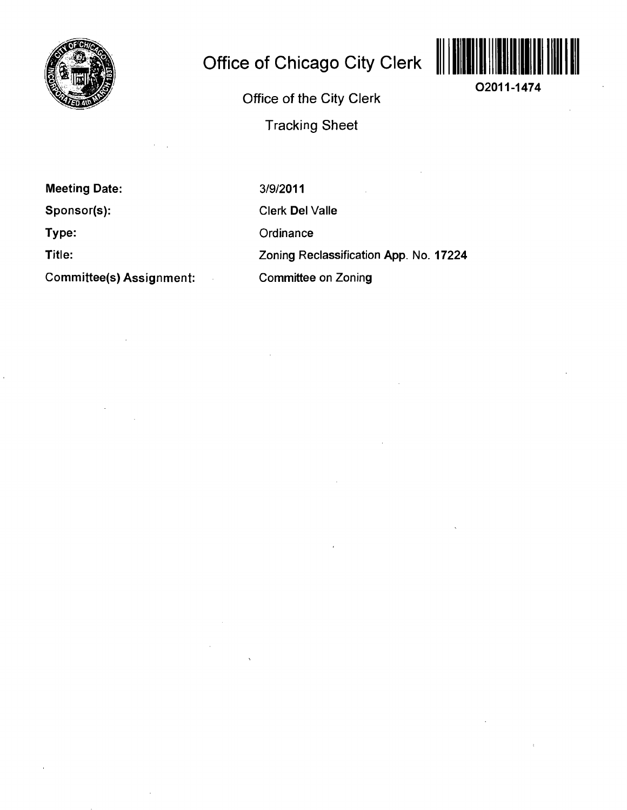

# **Office of Chicago City Clerk**



**02011-1474** 

**Office of the City Clerk Tracking Sheet** 

**Meeting Date:** 

**Sponsor(s):** 

**Type:** 

**Title:** 

**Committee(s) Assignment:** 

3/9/2011 Clerk Del Valle **Ordinance** Zoning Reclassification App. No. 17224 Committee on Zoning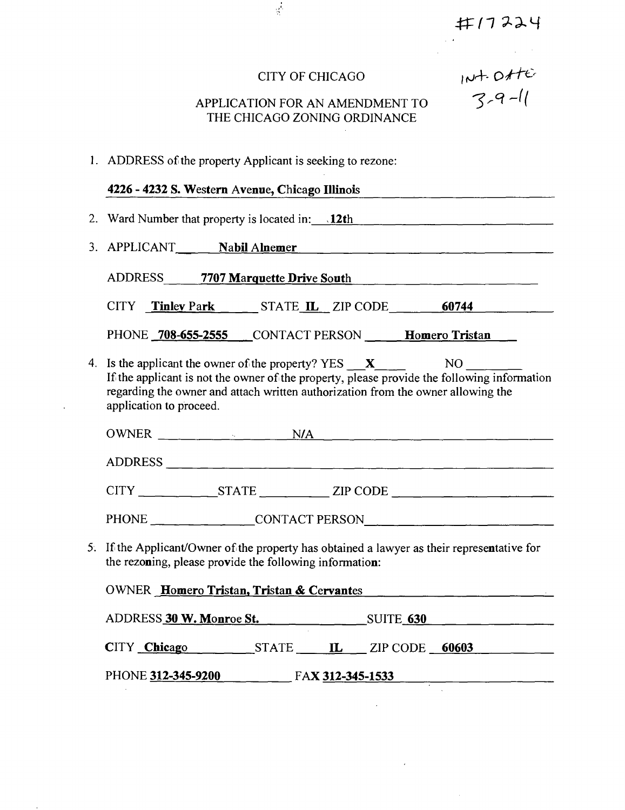井17224

| CITY OF CHICAGO |  |
|-----------------|--|
|-----------------|--|

 $\frac{1}{2}$ 

# APPLICATION FOR AN AMENDMENT TO THE CHICAGO ZONING ORDINANCE

#### **1. ADDRESS of the property Applicant is seeking to rezone:**

#### **4226 - 4232 S. Westem Avenue, Chicago Illinois**

**2. Ward Number that property is located in: . 12th** 

3. APPLICANT **Nabil Alnemer Nabil Alnemer Nabil Alnemer Nabil Alnement Almena** 

**ADDRESS 7707 Marquette Drive South** 

| CITY | <b>Tinley Park</b> | STATE <b>IL</b> ZIP CODE |  | 60744 |  |
|------|--------------------|--------------------------|--|-------|--|
|------|--------------------|--------------------------|--|-------|--|

PHONE **708-655-2555** CONTACT PERSON **Homero Tristan** 

4. Is the applicant the owner of the property? YES  $\boldsymbol{X}$  NO Ifthe applicant is not the owner of the property, please provide the following information regarding the owner and attach written authorization from the owner allowing the application to proceed.

| <b>OWNER</b>   | ٠.           | N/A |          |
|----------------|--------------|-----|----------|
| <b>ADDRESS</b> |              |     |          |
| <b>CITY</b>    | <b>STATE</b> |     | ZIP CODE |

PHONE CONTACT PERSON

5. Ifthe Applicant/Owner of the property has obtained a lawyer as their representative for the rezoning, please provide the following information:

| <b>OWNER</b> Homero Tristan, Tristan & Cervantes |       |                  |                  |  |  |  |
|--------------------------------------------------|-------|------------------|------------------|--|--|--|
| ADDRESS 30 W. Monroe St.                         |       |                  | <b>SUITE 630</b> |  |  |  |
| CITY Chicago                                     | STATE | $\mathbf{H}$     | ZIP CODE 60603   |  |  |  |
| PHONE 312-345-9200                               |       | FAX 312-345-1533 |                  |  |  |  |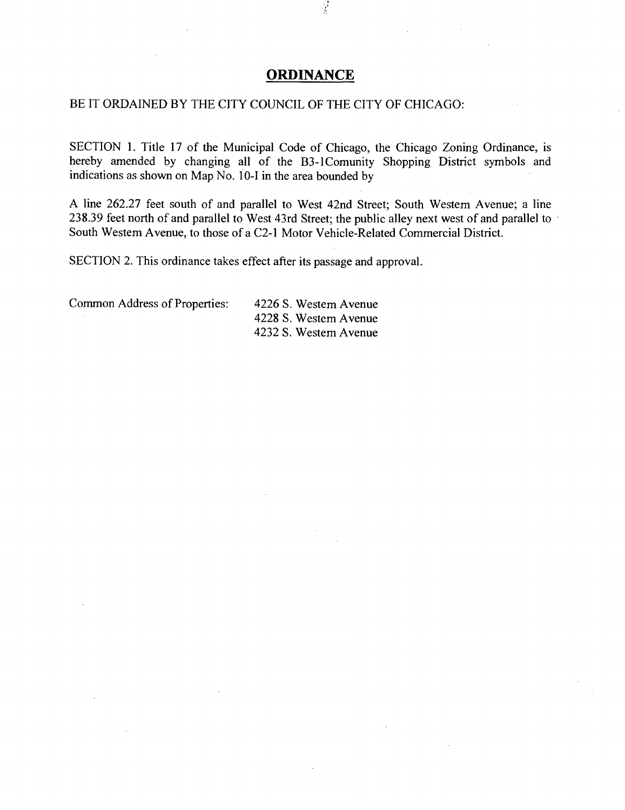# **ORDINANCE**

₫,

#### BE IT ORDAINED BY THE CITY COUNCIL OF THE CITY OF CHICAGO:

SECTION 1. Title 17 of the Municipal Code of Chicago, the Chicago Zoning Ordinance, is hereby amended by changing all of the B3-lComunity Shopping District symbols and indications as shown on Map No. 10-I in the area bounded by

A line 262.27 feet south of and parallel to West 42nd Street; South Westem Avenue; a line 238.39 feet north of and parallel to West 43rd Street; the public alley next west of and parallel to South Westem Avenue, to those of a C2-1 Motor Vehicle-Related Commercial District.

SECTION 2. This ordinance takes effect after its passage and approval.

Common Address of Properties: 4226 S. Westem Avenue

4228 S. Westem Avenue 4232 S. Westem Avenue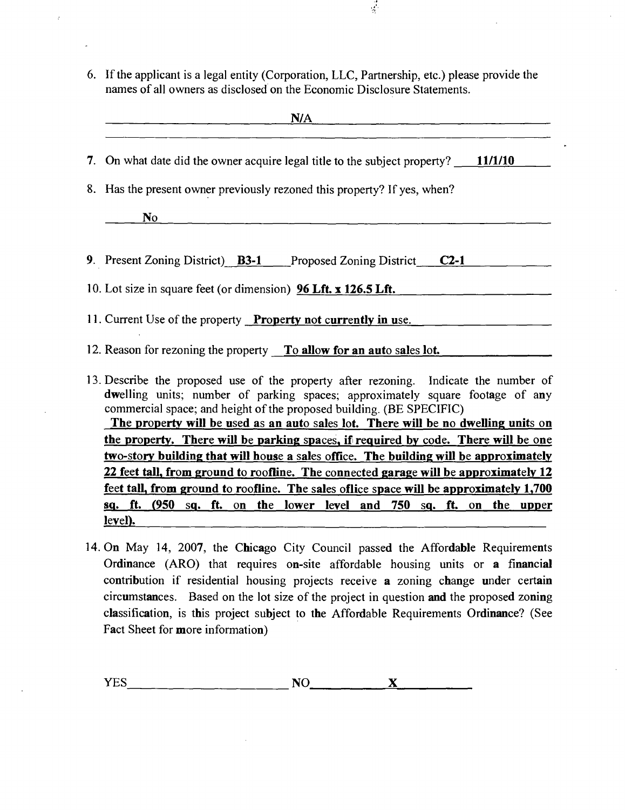6. Ifthe applicant is a legal entity (Corporation, LLC, Partnership, etc.) please provide the names of all owners as disclosed on the Economic Disclosure Statements.

 $\frac{1}{2}$ 

| N/A                                                                                                                                                                                                                                                                                                                                 |  |  |  |  |  |
|-------------------------------------------------------------------------------------------------------------------------------------------------------------------------------------------------------------------------------------------------------------------------------------------------------------------------------------|--|--|--|--|--|
| 7. On what date did the owner acquire legal title to the subject property? 11/1/10                                                                                                                                                                                                                                                  |  |  |  |  |  |
| 8. Has the present owner previously rezoned this property? If yes, when?                                                                                                                                                                                                                                                            |  |  |  |  |  |
| No                                                                                                                                                                                                                                                                                                                                  |  |  |  |  |  |
| 9. Present Zoning District) <b>B3-1</b> Proposed Zoning District <b>C2-1</b>                                                                                                                                                                                                                                                        |  |  |  |  |  |
| 10. Lot size in square feet (or dimension) <b>96 Lft. x 126.5 Lft.</b>                                                                                                                                                                                                                                                              |  |  |  |  |  |
| 11. Current Use of the property <b>Property not currently in use</b> .                                                                                                                                                                                                                                                              |  |  |  |  |  |
| 12. Reason for rezoning the property To allow for an auto sales lot.                                                                                                                                                                                                                                                                |  |  |  |  |  |
| 13. Describe the proposed use of the property after rezoning. Indicate the number of<br>dwelling units; number of parking spaces; approximately square footage of any<br>commercial space; and height of the proposed building. (BE SPECIFIC)<br>The nuevesty will be used as an oute soles let. There will be no dwelling units on |  |  |  |  |  |

**The propertv will be used as an auto sales lot. There will be no dwelling units on the propertv. There will be parking spaces, if required by code. There will be one two-story building that will house a sales office. The building will be approximately 22 feet tall, from ground to roofline. The connected garage will be approximately 12 feet tall, from ground to roofline. The sales oflice space will be approximately 1,700 sq. ft. (950 sq. ft. on the lower level and 750 sq. ft. on the upper level).** 

14. On May 14, 2007, the Chicago City Council passed the Affordable Requirements Ordinance (ARO) that requires on-site affordable housing units or a financial contribution if residential housing projects receive a zoning change under certain circumstances. Based on the lot size of the project in question and the proposed zoning classification, is this project subject to the Affordable Requirements Ordinance? (See Fact Sheet for more information)

YES NO X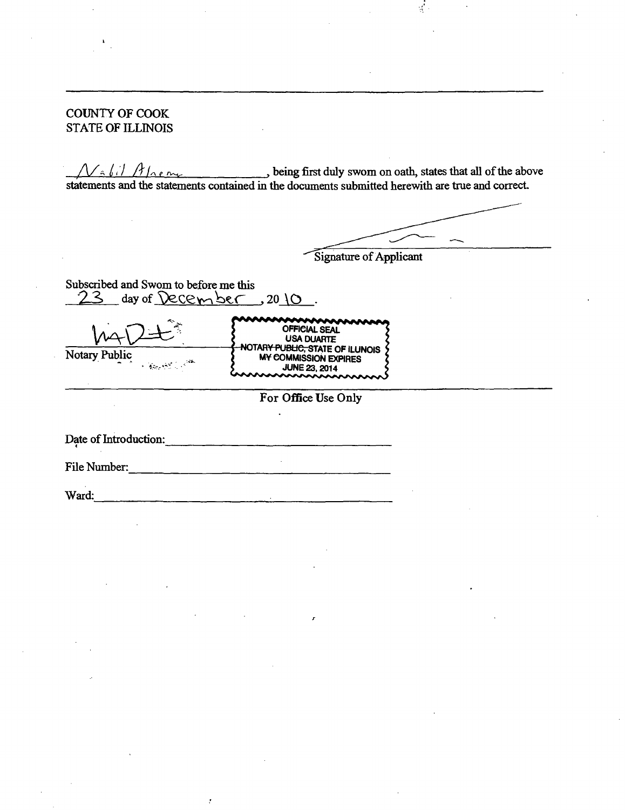COUNTY OF COOK STATE OF ILLINOIS

 $\mathcal{N}_{\hat{\tau}}(i)$   $\hat{A}$   $\hat{\tau}$  is the above being first duly swom on oath, states that all of the above statements and the statements contained in the documents submitted herewith are trae and correct

 $\mathcal{L}$ 

Signature of Applicant

Subscribed and Swom to before me this  $23$  day of  $\Omega$ ecember,  $20 \times 10$ .

|               | <b>OFFICIAL SEAL</b>                          |
|---------------|-----------------------------------------------|
|               | <b>USA DUARTE</b>                             |
|               | -NOTAR <del>Y PUBLIC, S</del> TATE OF ILUNOIS |
| Notary Public | <b>MY COMMISSION EXPIRES</b>                  |
| <b>不能感觉</b>   | <b>JUNE 23, 2014</b>                          |
|               | mmmmmm                                        |

**For Office Use Only** 

Date of Introduction:

File Number: The Number:

Į.

Ward:

4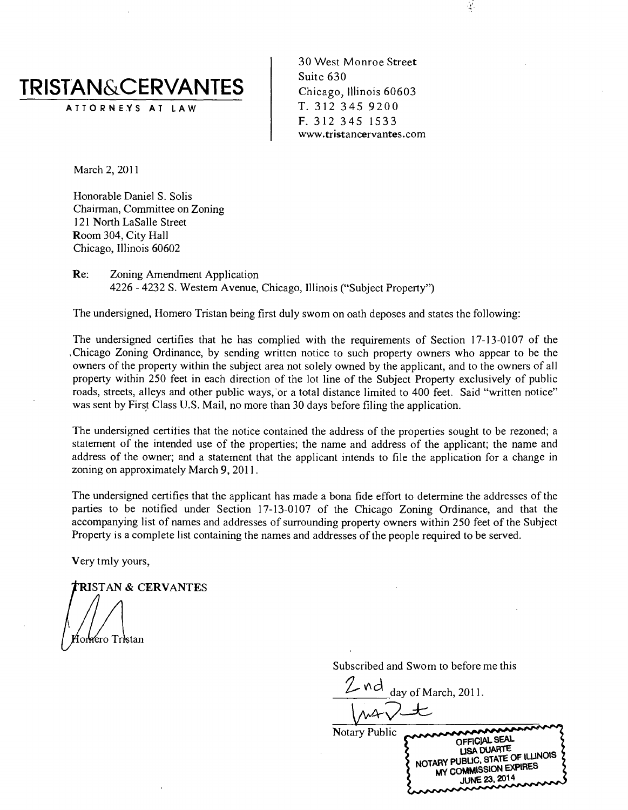

ATTORNEYS AT LAW

30 West Monroe Street Suite 630 Chicago, Illinois 60603 T. 312 345 9200 F. 312 345 1533 www.tristancervantes.com  $\frac{1}{\sqrt{2}}$ 

March 2, 2011

Honorable Daniel S. Solis Chairman, Committee on Zoning 121 North LaSalle Street Room 304, City Hall Chicago, Illinois 60602

Re: Zoning Amendment Application 4226 - 4232 S. Westem Avenue, Chicago, Illinois ("Subject Property")

The undersigned, Homero Tristan being first duly swom on oath deposes and states the following:

The undersigned certifies that he has complied with the requirements of Section 17-13-0107 of the .Chicago Zoning Ordinance, by sending written notice to such property owners who appear to be the owners of the property within the subject area not solely owned by the applicant, and to the owners of all property within 250 feet in each direction of the lot line of the Subject Property exclusively of public roads, streets, alleys and other public ways, or a total distance limited to 400 feet. Said "written notice" was sent by First Class U.S. Mail, no more than 30 days before filing the application.

The undersigned certifies that the notice contained the address of the properties sought to be rezoned; a statement of the intended use of the properties; the name and address of the applicant; the name and address of the owner; and a statement that the applicant intends to file the application for a change in zoning on approximately March 9, 2011.

The undersigned certifies that the applicant has made a bona fide effort to determine the addresses of the parties to be notified under Section 17-13-0107 of the Chicago Zoning Ordinance, and that the accompanying list of names and addresses of surrounding property owners within 250 feet of the Subject Property is a complete list containing the names and addresses of the people required to be served.

Very tmly yours,

RISTAN & CERVANTES

orrero Tristan

Subscribed and Swom to before me this

day of March, 2011.

Notary Public CONCORDINATE NOTARY PUBLIC, STATE OF ILLINOIS MY COMMISSION EXPIRES JUNE 23,2014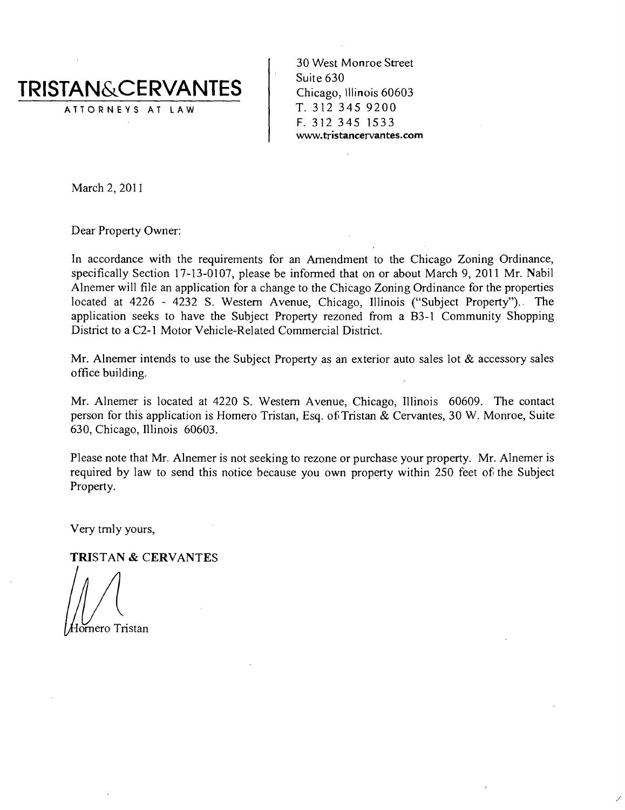

30 West Monroe Street Suite 630 Chicago, Illinois 60603 T. 312 345 9200 F. 312 345 1533 www.tristancervantes.com

March 2, 2011

Dear Property Owner:

In accordance with the requirements for an Amendment to the Chicago Zoning Ordinance, specifically Section 17-13-0107, please be informed that on or about March 9, 2011 Mr. Nabil Alnemer will file an application for a change to the Chicago Zoning Ordinance for the properties located at 4226 - 4232 S. Westem Avenue, Chicago, Illinois ("Subject Property"). The application seeks to have the Subject Property rezoned from a B3-1 Community Shopping District to a C2-1 Motor Vehicle-Related Commercial District.

Mr. Alnemer intends to use the Subject Property as an exterior auto sales lot  $\&$  accessory sales office building.

Mr. Alnemer is located at 4220 S. Westem Avenue, Chicago, Illinois 60609. The contact person for this application is Homero Tristan, Esq. of Tristan & Cervantes, 30 W. Monroe, Suite 630, Chicago, Illinois 60603.

Please note that Mr. Alnemer is not seeking to rezone or purchase your property. Mr. Alnemer is required by law to send this notice because you own property within 250 feet of the Subject Property.

**Very tmly yours,** 

**TRISTAN & CERVANTES** 

omero Tristan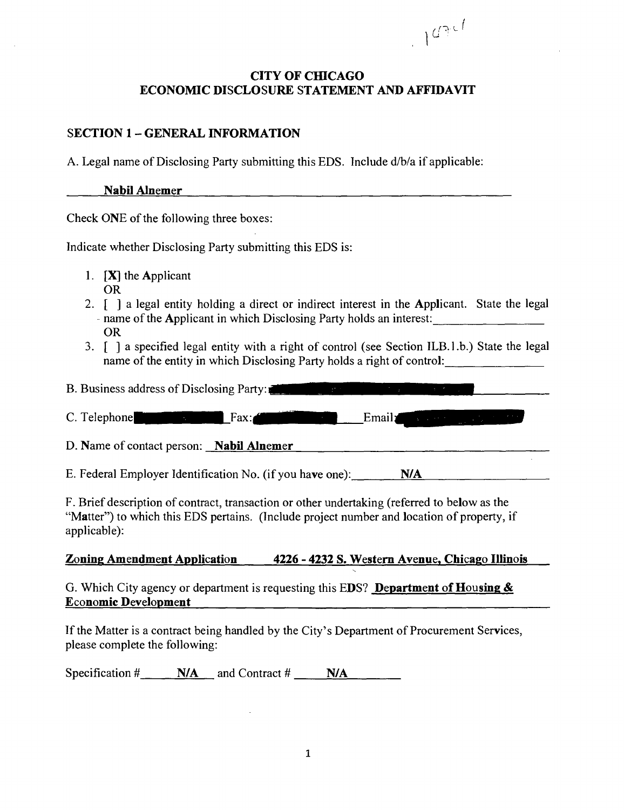# CITY OF CHICAGO ECONOMIC DISCLOSURE STATEMENT AND AFFIDAVIT

 $107c$ 

# SECTION 1 - GENERAL INFORMATION

A. Legal name of Disclosing Party submitting this EDS. Include d/b/a if applicable:

#### Nabil Alnemer

Check ONE of the following three boxes:

Indicate whether Disclosing Party submitting this EDS is:

- 1.  $[X]$  the Applicant OR
- 2. [ ] a legal entity holding a direct or indirect interest in the Applicant. State the legal - name of the Applicant in which Disclosing Party holds an interest: OR
- 3. [ ] a specified legal entity with a right of control (see Section ILB.l.b.) State the legal name of the entity in which Disclosing Party holds a right of control:

B. Business address of Disclosing Party:

C. Telephone<sup>"</sup> imaging the Fax:  $\frac{1}{\text{Fax}}$  Email  $\frac{1}{\text{Fax}}$ 

D. Name of contact person: **Nabil Alnemer Example 2.** The contract person: **Nabil Alnemer** 

E. Federal Employer Identification No. (if you have one):  $N/A$ 

F. Brief description of contract, transaction or other undertaking (refened to below as the "Matter") to which this EDS pertains. (Include project number and location of property, if applicable):

# Zoning Amendment Application 4226 - 4232 S. Westem Avenue, Chicago Illinois

G. Which City agency or department is requesting this EDS? Department of Housing & Economic Development

If the Matter is a contract being handled by the City's Department of Procurement Services, please complete the following:

Specification  $\#$  N/A and Contract  $\#$  N/A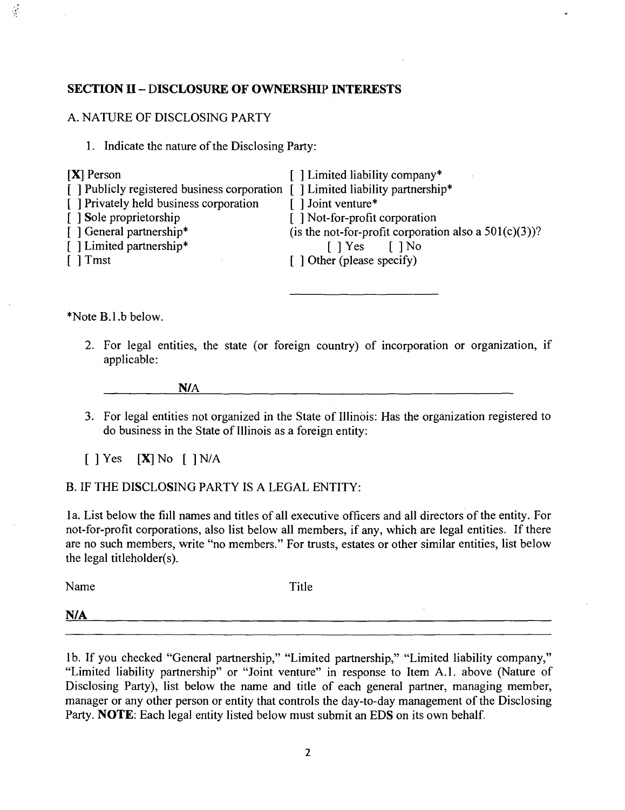#### **SECTION II - DISCLOSURE OF OWNERSHIP INTERESTS**

#### A. NATURE OF DISCLOSING PARTY

1. Indicate the nature of the Disclosing Party:

| $[X]$ Person                                                                    | [] Limited liability company*                            |
|---------------------------------------------------------------------------------|----------------------------------------------------------|
| [ ] Publicly registered business corporation [ ] Limited liability partnership* |                                                          |
| [ ] Privately held business corporation                                         | $\lceil$ ] Joint venture*                                |
| [ ] Sole proprietorship                                                         | [ ] Not-for-profit corporation                           |
| [ ] General partnership*                                                        | (is the not-for-profit corporation also a $501(c)(3)$ )? |
| [] Limited partnership*                                                         | $\lceil$   Yes     No                                    |
| $\lceil \ \rceil$ Tmst                                                          | $\lceil$ 1 Other (please specify)                        |
|                                                                                 |                                                          |

\*Note B.l.b below.

 $\frac{1}{2}$ 

2. For legal entities, the state (or foreign country) of incorporation or organization, if applicable:

N/A

3. For legal entities not organized in the State of Illinois: Has the organization registered to do business in the State of Illinois as a foreign entity:

 $\begin{bmatrix} \end{bmatrix}$  Yes  $\begin{bmatrix} \textbf{X} \end{bmatrix}$  No  $\begin{bmatrix} \end{bmatrix}$  N/A

#### B. IF THE DISCLOSING PARTY IS A LEGAL ENTITY:

la. List below the fiill names and titles of all executive officers and all directors of the entity. For not-for-profit corporations, also list below all members, if any, which are legal entities. If there are no such members, write "no members." For trusts, estates or other similar entities, list below the legal titleholder(s).

Name Title

N/A

lb. If you checked "General partnership," "Limited partnership," "Limited liability company," "Limited liability partnership" or "Joint venture" in response to Item A.l . above (Nature of Disclosing Party), list below the name and title of each general partner, managing member, manager or any other person or entity that controls the day-to-day management of the Disclosing Party. **NOTE**: Each legal entity listed below must submit an EDS on its own behalf.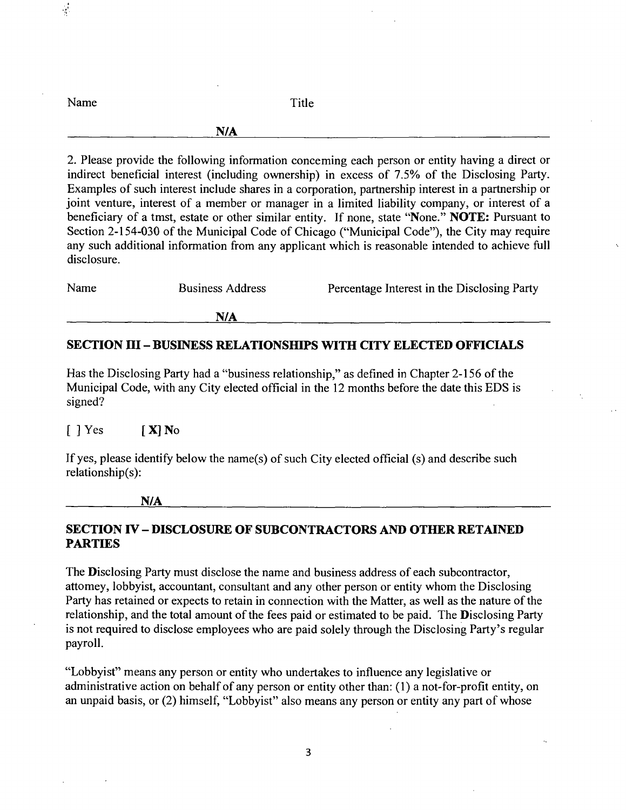| Name | Title                                                                                               |
|------|-----------------------------------------------------------------------------------------------------|
|      | N/A                                                                                                 |
|      | 2. Please provide the following information concerning each person or entity having a direct or     |
|      | indirect beneficial interest (including ownership) in excess of 7.5% of the Disclosing Party.       |
|      | Examples of such interest include shares in a corporation, partnership interest in a partnership or |

Examples of such interest include shares in a corporation, partnership interest in a partnership or joint venture, interest of a member or manager in a limited liability company, or interest of a beneficiary of a tmst, estate or other similar entity. If none, state "None." NOTE: Pursuant to Section 2-154-030 of the Municipal Code of Chicago ("Municipal Code"), the City may require any such additional information from any applicant which is reasonable intended to achieve full disclosure.

| Name<br><b>Business Address</b> | Percentage Interest in the Disclosing Party |
|---------------------------------|---------------------------------------------|
|---------------------------------|---------------------------------------------|

**N/A** 

#### **SECTION m - BUSINESS RELATIONSHIPS WITH CITY ELECTED OFFICLALS**

Has the Disclosing Party had a "business relationship," as defined in Chapter 2-156 of the Municipal Code, with any City elected official in the 12 months before the date this EDS is signed?

 $[$  ] Yes  $[$   $X]$  No

 $\frac{1}{2}$ 

If yes, please identify below the name(s) of such City elected official (s) and describe such relationship(s):

**N/A** 

# **SECTION IV - DISCLOSURE OF SUBCONTRACTORS AND OTHER RETAINED PARTIES**

The **D**isclosing Party must disclose the name and business address of each subcontractor, attomey, lobbyist, accountant, consultant and any other person or entity whom the Disclosing Party has retained or expects to retain in connection with the Matter, as well as the nature of the relationship, and the total amount of the fees paid or estimated to be paid. The Disclosing Party is not required to disclose employees who are paid solely through the Disclosing Party's regular payroll.

"Lobbyist" means any person or entity who undertakes to influence any legislative or administrative action on behalf of any person or entity other than: (1) a not-for-profit entity, on an unpaid basis, or (2) himself, "Lobbyist" also means any person or entity any part of whose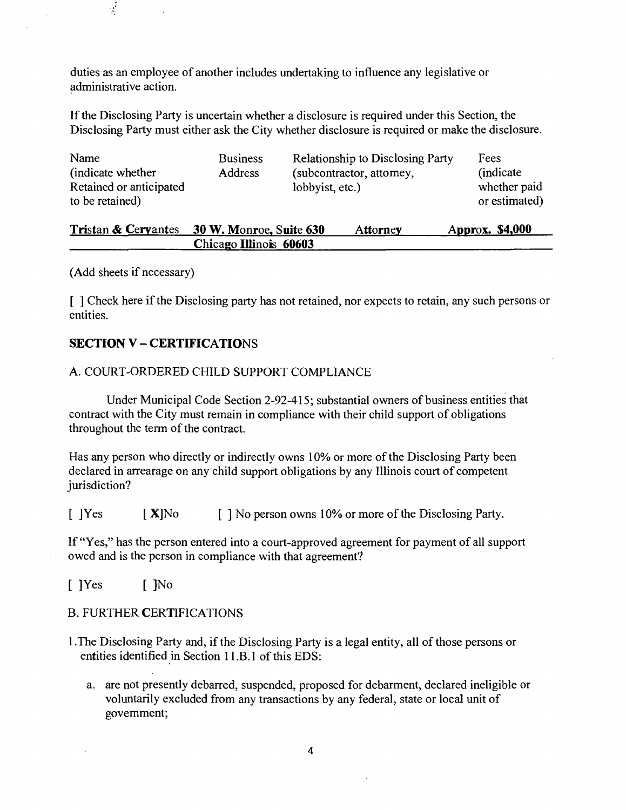duties as an employee of another includes undertaking to influence any legislative or administrative action.

If the Disclosing Party is uncertain whether a disclosure is required under this Section, the Disclosing Party must either ask the City whether disclosure is required or make the disclosure.

| Name<br>(indicate whether)<br>Retained or anticipated | <b>Business</b><br><b>Address</b> | <b>Relationship to Disclosing Party</b><br>(subcontractor, attomey,<br>lobbyist, etc.) | Fees<br><i>(indicate)</i><br>whether paid |
|-------------------------------------------------------|-----------------------------------|----------------------------------------------------------------------------------------|-------------------------------------------|
| to be retained)                                       |                                   |                                                                                        | or estimated)                             |

| Tristan & Ceryantes 30 W. Monroe, Suite 630 | Attorney | Approx. \$4,000 |
|---------------------------------------------|----------|-----------------|
| Chicago Illinois 60603                      |          |                 |

(Add sheets if necessary)

 $\frac{1}{2}$ 

[ ] Check here if the Disclosing party has not retained, nor expects to retain, any such persons or entities.

# **SECTION V - CERTIFICATIONS**

#### A. COURT-ORDERED CHILD SUPPORT COMPLIANCE

Under Municipal Code Section 2-92-415; substantial owners of business entities that contract with the City must remain in compliance with their child support of obligations throughout the term of the contract.

Has any person who directly or indirectly owns 10% or more of the Disclosing Party been declared in arrearage on any child support obligations by any Illinois court of competent jurisdiction?

[  $|Yes$  [ X|No [ ] No person owns 10% or more of the Disclosing Party.

If "Yes," has the person entered into a court-approved agreement for payment of all support owed and is the person in compliance with that agreement?

[ ]Yes [ ]No

B. FURTHER CERTIFICATIONS

- 1 .The Disclosing Party and, if the Disclosing Party is a legal entity, all of those persons or entities identified in Section 11.B.1 of this EDS:
	- a. are not presently debarred, suspended, proposed for debarment, declared ineligible or voluntarily excluded from any transactions by any federal, state or local unit of govemment;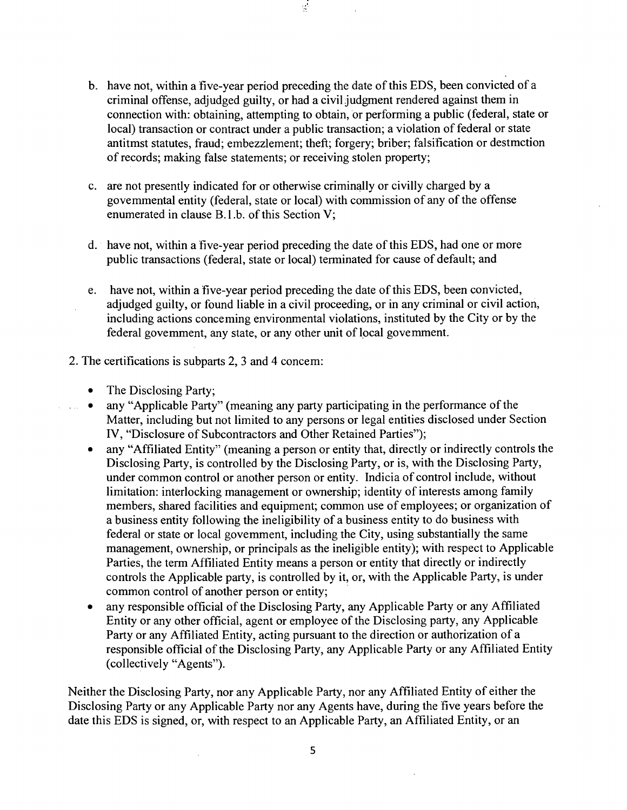b. have not, within a five-year period preceding the date of this EDS, been convicted of a criminal offense, adjudged guilty, or had a civil judgment rendered against them in connection with: obtaining, attempting to obtain, or performing a public (federal, state or local) transaction or contract under a public transaction; a violation of federal or state antitmst statutes, fraud; embezzlement; theft; forgery; briber; falsification or destmction of records; making false statements; or receiving stolen property;

 $\mathcal{I}$ 

- c. are not presently indicated for or otherwise criminally or civilly charged by a govemmental entity (federal, state or local) with commission of any of the offense enumerated in clause B.l .b. of this Section V;
- d. have not, within a five-year period preceding the date of this EDS, had one or more public transactions (federal, state or local) terminated for cause of default; and
- e. have not, within a five-year period preceding the date of this EDS, been convicted, adjudged guilty, or found liable in a civil proceeding, or in any criminal or civil action, including actions conceming environmental violations, instituted by the City or by the federal govemment, any slate, or any other unit of local govemment.
- 2. The certifications is subparts 2, 3 and 4 concem:

 $\bar{z}$ 

- The Disclosing Party;
- any "Applicable Party" (meaning any party participating in the performance of the  $\hat{\mathcal{A}}$ Matter, including but not limited to any persons or legal entities disclosed under Section IV, "Disclosure of Subcontractors and Other Retained Parties");
	- any "Affiliated Entity" (meaning a person or entity that, directly or indirectly controls the Disclosing Party, is controlled by the Disclosing Party, or is, with the Disclosing Party, under common control or another person or entity. Indicia of control include, without limitation: interlocking management or ownership; identity of interests among family members, shared facilities and equipment; common use of employees; or organization of a business entity following the ineligibility of a business entity to do business with federal or state or local govemment, including the City, using substantially the same management, ownership, or principals as the ineligible entity); with respect to Applicable Parties, the term Affiliated Entity means a person or entity that directly or indirectly controls the Applicable party, is controlled by it, or, with the Applicable Party, is under common control of another person or entity;
	- any responsible official of the Disclosing Party, any Applicable Party or any Affiliated Entity or any other official, agent or employee of the Disclosing party, any Applicable Party or any Affiliated Entity, acting pursuant to the direction or authorization of a responsible official of the Disclosing Party, any Applicable Party or any Affiliated Entity (collectively "Agents").

Neither the Disclosing Party, nor any Applicable Party, nor any Affiliated Entity of either the Disclosing Party or any Applicable Party nor any Agents have, during the five years before the date this EDS is signed, or, with respect to an Applicable Party, an Affiliated Entity, or an

5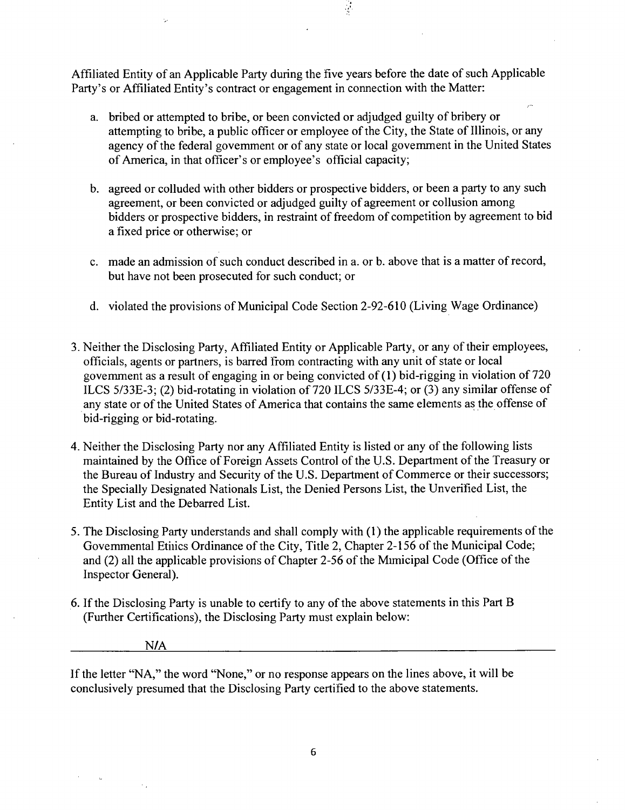Affiliated Entity of an Applicable Party during the five years before the date of such Applicable Party's or Affiliated Entity's contract or engagement in connection with the Matter:

a. bribed or attempted to bribe, or been convicted or adjudged guilty of bribery or attempting to bribe, a public officer or employee of the City, the State of Illinois, or any agency of the federal govemment or of any state or local govemment in the United States of America, in that officer's or employee's official capacity;

 $\frac{1}{2}$ 

- b. agreed or colluded with other bidders or prospective bidders, or been a party to any such agreement, or been convicted or adjudged guilty of agreement or collusion among bidders or prospective bidders, in restraint of freedom of competition by agreement to bid a fixed price or otherwise; or
- c. made an admission of such conduct described in a. or b. above that is a matter of record, but have not been prosecuted for such conduct; or
- d. violated the provisions of Municipal Code Section 2-92-610 (Living Wage Ordinance)
- 3. Neither the Disclosing Party, Affiliated Entity or Applicable Party, or any of their employees, officials, agents or partners, is baned from contracting with any unit of state or local govemment as a result of engaging in or being convicted of (1) bid-rigging in violation of 720 ILCS 5/33E-3; (2) bid-rotating in violation of 720 ILCS 5/33E-4; or (3) any similar offense of any state or of the United States of America that contains the same elements as the offense of bid-rigging or bid-rotating.
- 4. Neither the Disclosing Party nor any Affiliated Entity is listed or any of the following lists maintained by the Office of Foreign Assets Control of the U.S. Department of the Treasury or the Bureau of Industry and Security of the U.S. Department of Commerce or their successors; the Specially Designated Nationals List, the Denied Persons List, the Unverified List, the Entity List and the Debarred List.
- 5. The Disclosing Party understands and shall comply with (1) the applicable requirements of the Govemmental Etiiics Ordinance of the City, Title 2, Chapter 2-156 of the Municipal Code; and (2) all the applicable provisions of Chapter 2-56 of the Mimicipal Code (Office of the Inspector General).
- 6. If the Disclosing Party is unable to certify to any of the above statements in this Part B (Further Certifications), the Disclosing Party must explain below:

#### N/A

If the letter "NA," the word "None," or no response appears on the lines above, it will be conclusively presumed that the Disclosing Party certified to the above statements.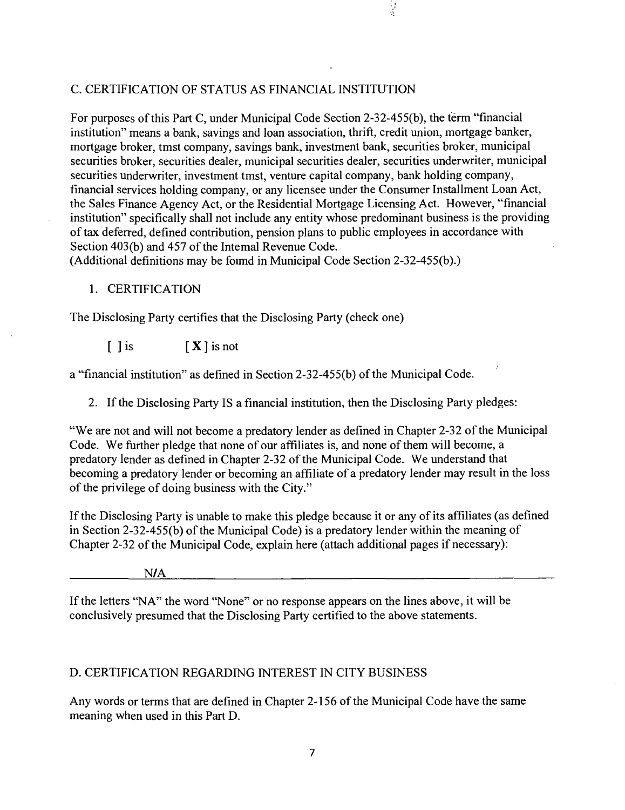#### C. CERTIFICATION OF STATUS AS FINANCIAL INSTITUTION

For purposes of this Part C, under Municipal Code Section 2-32-455(b), the term "financial institution" means a bank, savings and loan association, thrift, credit union, mortgage banker, mortgage broker, tmst company, savings bank, investment bank, securities broker, municipal securities broker, securities dealer, municipal securities dealer, securities underwriter, municipal securities underwriter, investment tmst, venture capital company, bank holding company, financial services holding company, or any licensee under the Consumer Installment Loan Act, the Sales Finance Agency Act, or the Residential Mortgage Licensing Act. However, "financial institution" specifically shall not include any entity whose predominant business is the providing of tax defened, defined contribution, pension plans to public employees in accordance with Section 403(b) and 457 of the Intemal Revenue Code.

 $\frac{1}{2}$ 

(Additional definitions may be foimd in Municipal Code Section 2-32-455(b).)

#### 1. CERTIFICATION

The Disclosing Party certifies that the Disclosing Party (check one)

 $\begin{bmatrix} \end{bmatrix}$  is  $\begin{bmatrix} \mathbf{X} \end{bmatrix}$  is not

a "financial institution" as defined in Section 2-32-455(b) of the Municipal Code.

2. If the Disclosing Party IS a financial institution, then the Disclosing Party pledges:

"We are not and will not become a predatory lender as defined in Chapter 2-32 of the Municipal Code. We further pledge that none of our affiliates is, and none of them will become, a predatory lender as defined in Chapter 2-32 of the Municipal Code. We understand that becoming a predatory lender or becoming an affiliate of a predatory lender may result in the loss of the privilege of doing business with the City."

If the Disclosing Party is unable to make this pledge because it or any of its affiliates (as defined in Section 2-32-455(b) of the Municipal Code) is a predatory lender within the meaning of Chapter 2-32 of the Municipal Code, explain here (attach additional pages if necessary):

N/A

If the letters "NA" the word "None" or no response appears on the lines above, it will be conclusively presumed that the Disclosing Party certified to the above statements.

## D. CERTIFICATION REGARDING INTEREST IN CITY BUSINESS

Any words or terms that are defined in Chapter 2-156 of the Municipal Code have the same meaning when used in this Part D.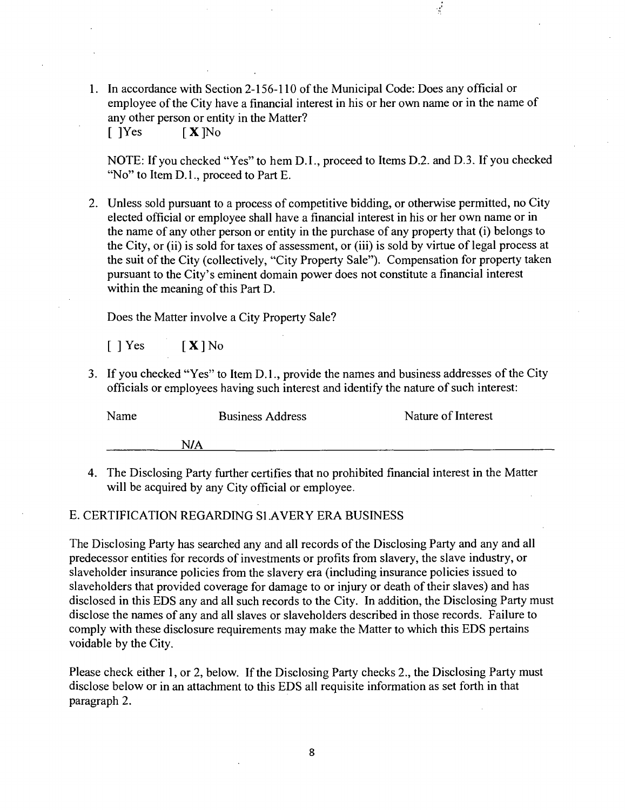1. In accordance with Section 2-156-110 of the Municipal Code: Does any official or employee of the City have a financial interest in his or her own name or in the name of any other person or entity in the Matter?  $[$  ]Yes  $[$  **X** ]No

NOTE: If you checked "Yes" to hem D.I., proceed to Items D.2. and D.3. If you checked "No" to Item D.L, proceed to Part E.

2. Unless sold pursuant to a process of competitive bidding, or otherwise permitted, no City elected official or employee shall have a financial interest in his or her own name or in the name of any other person or entity in the purchase of any property that (i) belongs to the City, or (ii) is sold for taxes of assessment, or (iii) is sold by virtue of legal process at the suit of the City (collectively, "City Property Sale"). Compensation for property taken pursuant to the City's eminent domain power does not constitute a financial interest within the meaning of this Part D.

Does the Matter involve a City Property Sale?

 $[$  | Yes  $[X]$  No

3. If you checked "Yes" to Item D.1., provide the names and business addresses of the City officials or employees having such interest and identify the nature of such interest:

| Name |     | <b>Business Address</b> | Nature of Interest |  |
|------|-----|-------------------------|--------------------|--|
|      | N/A |                         |                    |  |

4. The Disclosing Party further certifies that no prohibited financial interest in the Matter will be acquired by any City official or employee.

#### E. CERTIFICATION REGARDING SLAVERY ERA BUSINESS

The Disclosing Party has searched any and all records of the Disclosing Party and any and all predecessor entities for records of investments or profits from slavery, the slave industry, or slaveholder insurance policies from the slavery era (including insurance policies issued to slaveholders that provided coverage for damage to or injury or death of their slaves) and has disclosed in this EDS any and all such records to the City. In addition, the Disclosing Party must disclose the names of any and all slaves or slaveholders described in those records. Failure to comply with these disclosure requirements may make the Matter to which this EDS pertains voidable by the City.

Please check either 1, or 2, below. If the Disclosing Party checks 2., the Disclosing Party must disclose below or in an attachment to this EDS all requisite information as set forth in that paragraph 2.

8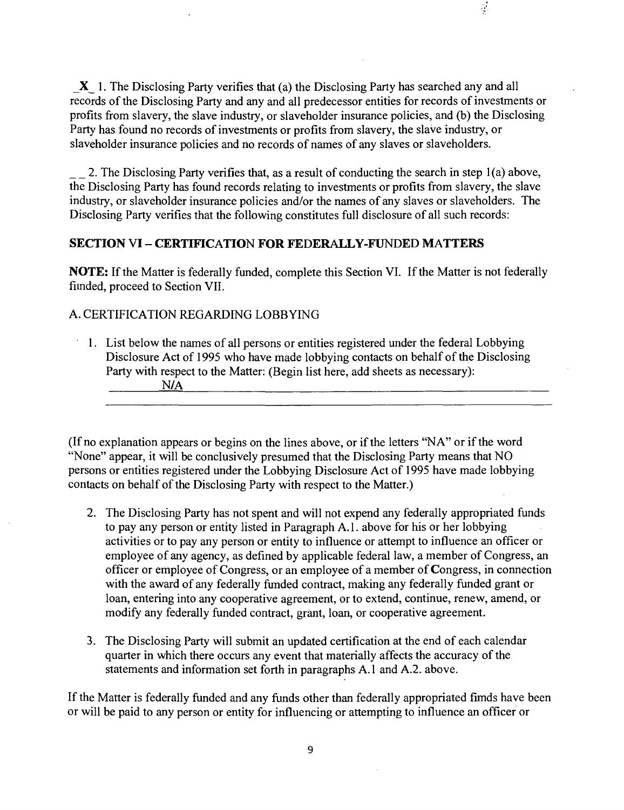$X$  1. The Disclosing Party verifies that (a) the Disclosing Party has searched any and all records of the Disclosing Party and any and all predecessor entities for records of investments or profits from slavery, the slave industry, or slaveholder insurance policies, and (b) the Disclosing Party has found no records of investments or profits from slavery, the slave industry, or slaveholder insurance policies and no records of names of any slaves or slaveholders.

 $\frac{1}{2}$ 

2. The Disclosing Party verifies that, as a result of conducting the search in step 1(a) above, the Disclosing Party has found records relating to investments or profits from slavery, the slave industry, or slaveholder insurance policies and/or the names of any slaves or slaveholders. The Disclosing Party verifies that the following constitutes full disclosure of all such records:

#### **SECTION VI - CERTIFICATION FOR FEDERALLY-FUNDED MATTERS**

NOTE: If the Matter is federally funded, complete this Section VI. If the Matter is not federally fiinded, proceed to Section VII.

#### A. CERTIFICATION REGARDING LOBBYING

**1. List below the names of all persons or entities registered under the federal Lobbying Disclosure Act of 1995 who have made lobbying contacts on behalf of the Disclosing Party with respect to the Matter: (Begin list here, add sheets as necessary): N/A** 

(If no explanation appears or begins on the lines above, or if the letters "NA" or if the word "None" appear, it will be conclusively presumed that the Disclosing Party means that NO persons or entities registered under the Lobbying Disclosure Act of 1995 have made lobbying contacts on behalf of the Disclosing Party with respect to the Matter.)

- 2. The Disclosing Party has not spent and will not expend any federally appropriated funds to pay any person or entity listed in Paragraph A.l . above for his or her lobbying activities or to pay any person or entity to influence or attempt to influence an officer or employee of any agency, as defined by applicable federal law, a member of Congress, an officer or employee of Congress, or an employee of a member of Congress, in connection with the award of any federally fimded contract, making any federally funded grant or loan, entering into any cooperative agreement, or to extend, continue, renew, amend, or modify any federally funded contract, grant, loan, or cooperative agreement.
- 3. The Disclosing Party will submit an updated certification at the end of each calendar quarter in which there occurs any event that materially affects the accuracy of the statements and information set forth in paragraphs A.l and A.2. above.

If the Matter is federally funded and any funds other than federally appropriated fimds have been or will be paid to any person or entity for influencing or attempting to influence an officer or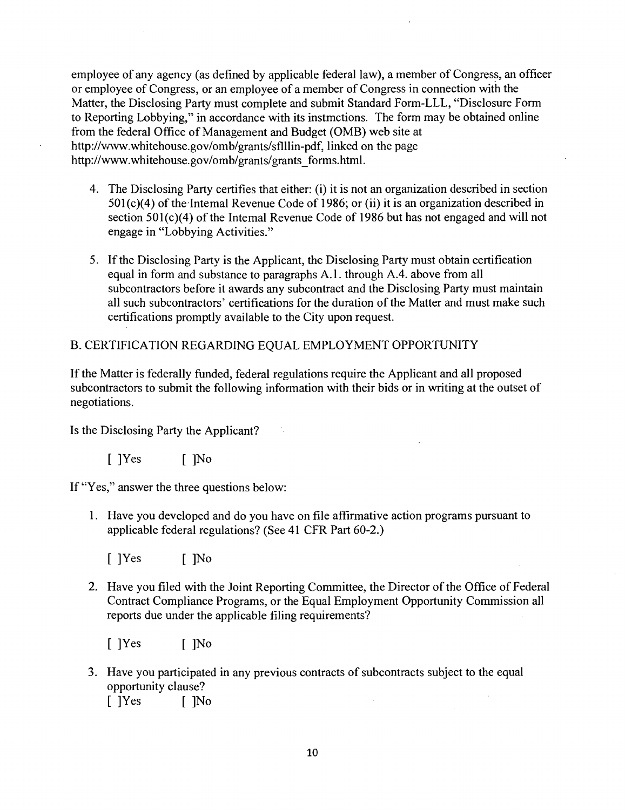employee of any agency (as defined by applicable federal law), a member of Congress, an officer or employee of Congress, or an employee of a member of Congress in connection with the Matter, the Disclosing Party must complete and submit Standard Form-LLL, "Disclosure Form to Reporting Lobbying," in accordance with its instmctions. The form may be obtained online from the federal Office of Management and Budget (OMB) web site at http://www.whitehouse.gov/omb/grants/sflllin-pdf, linked on the page http://www.whitehouse.gov/omb/grants/grants forms.html.

- 4. The Disclosing Party certifies that either: (i) it is not an organization described in section 501(c)(4) of the Intemal Revenue Code of 1986; or (ii) it is an organization described in section 501(c)(4) of the Intemal Revenue Code of 1986 but has not engaged and will not engage in "Lobbying Activities."
- 5. If the Disclosing Party is the Applicant, the Disclosing Party must obtain certification equal in form and substance to paragraphs A.l . through A.4. above from all subcontractors before it awards any subcontract and the Disclosing Party must maintain all such subcontractors' certifications for the duration of the Matter and must make such certifications promptly available to the City upon request.

# B. CERTIFICATION REGARDING EQUAL EMPLOYMENT OPPORTUNITY

If the Matter is federally funded, federal regulations require the Applicant and all proposed subcontractors to submit the following information with their bids or in writing at the outset of negotiations.

Is the Disclosing Party the Applicant?

 $[$   $]$ Yes  $[$   $]$ No

If "Yes," answer the three questions below:

1. Have you developed and do you have on file affirmative action programs pursuant to applicable federal regulations? (See 41 CFR Part 60-2.)

[ ]Yes [ ]No

2. Have you filed with the Joint Reporting Committee, the Director of the Office of Federal Contract Compliance Programs, or the Equal Employment Opportunity Commission all reports due under the applicable filing requirements?

[ ]Yes [ ]No

3. Have you participated in any previous contracts of subcontracts subject to the equal opportunity clause?  $\mathcal{L}$ [ ]Yes [ ]No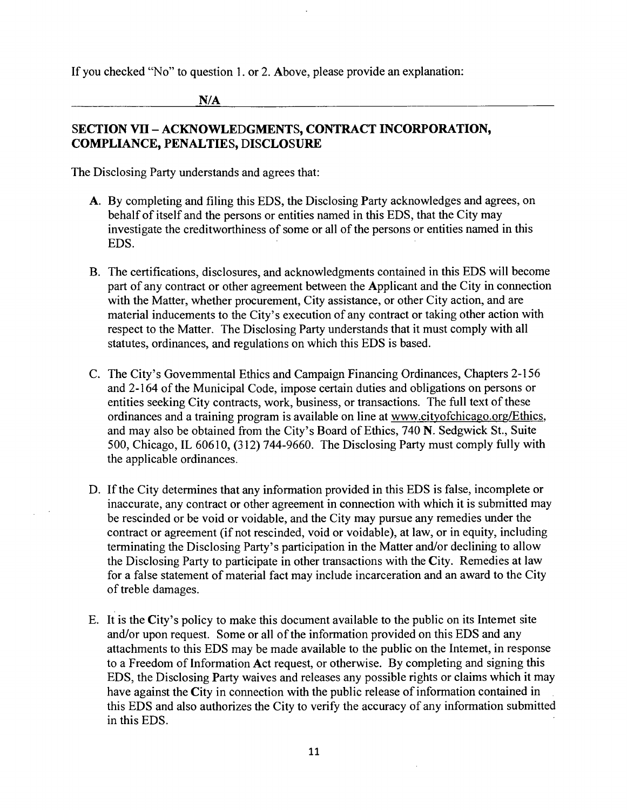If you checked "No" to question 1. or 2. Above, please provide an explanation:

**N/A** 

# SECTION VII - ACKNOWLEDGMENTS, CONTRACT INCORPORATION, **COMPLIANCE, PENALTIES, DISCLOSURE**

The Disclosing Party understands and agrees that:

- A. By completing and filing this EDS, the Disclosing Party acknowledges and agrees, on behalf of itself and the persons or entities named in this EDS, that the City may investigate the creditworthiness of some or all of the persons or entities named in this EDS.
- B. The certifications, disclosures, and acknowledgments contained in this EDS will become part of any contract or other agreement between the Applicant and the City in connection with the Matter, whether procurement. City assistance, or other City action, and are material inducements to the City's execution of any contract or taking other action with respect to the Matter. The Disclosing Party understands that it must comply with all statutes, ordinances, and regulations on which this EDS is based.
- C. The City's Govemmental Ethics and Campaign Financing Ordinances, Chapters 2-156 and 2-164 of the Municipal Code, impose certain duties and obligations on persons or entities seeking City contracts, work, business, or transactions. The full text of these ordinances and a training program is available on line at www.cityofchicago.org/Ethics, and may also be obtained from the City's Board of Ethics, 740 N. Sedgwick St., Suite 500, Chicago, IL 60610, (312) 744-9660. The Disclosing Party must comply fiilly with the applicable ordinances.
- D. If the City determines that any information provided in this EDS is false, incomplete or inaccurate, any contract or other agreement in connection with which it is submitted may be rescinded or be void or voidable, and the City may pursue any remedies under the contract or agreement (if not rescinded, void or voidable), at law, or in equity, including terminating the Disclosing Party's participation in the Matter and/or declining to allow the Disclosing Party to participate in other transactions with the City. Remedies at law for a false statement of material fact may include incarceration and an award to the City of treble damages.
- E. It is the City's policy to make this document available to the public on its Intemet site and/or upon request. Some or all of the information provided on this EDS and any attachments to this EDS may be made available to the public on the Intemet, in response to a Freedom of Information Act request, or otherwise. By completing and signing this EDS, the Disclosing Party waives and releases any possible rights or claims which it may have against the City in connection with the public release of information contained in this EDS and also authorizes the City to verify the accuracy of any information submitted in this EDS.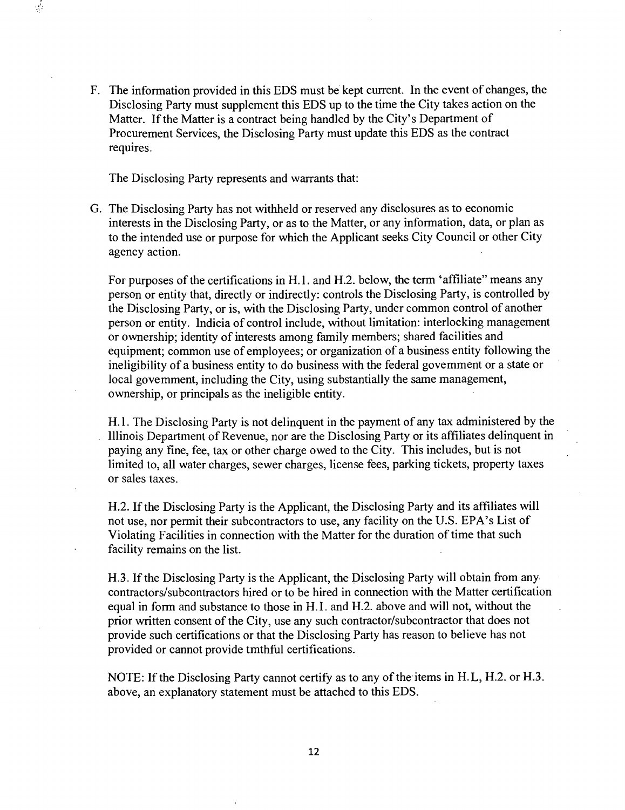F. The information provided in this EDS must be kept current. In the event of changes, the Disclosing Party must supplement this EDS up to the time the City takes action on the Matter. If the Matter is a contract being handled by the City's Department of Procurement Services, the Disclosing Party must update this EDS as the contract requires.

The Disclosing Party represents and warrants that:

 $\mathcal{L}$ 

G. The Disclosing Party has not withheld or reserved any disclosures as to economic interests in the Disclosing Party, or as to the Matter, or any information, data, or plan as to the intended use or purpose for which the Applicant seeks City Council or other City agency action.

For purposes of the certifications in H.l. and H.2. below, the term 'affiliate" means any person or entity that, directly or indirectly: controls the Disclosing Party, is controlled by the Disclosing Party, or is, with the Disclosing Party, under common control of another person or entity. Indicia of control include, without limitation: interlocking management or ownership; identity of interests among family members; shared facilities and equipment; common use of employees; or organization of a business entity following the ineligibility of a business entity to do business with the federal govemment or a state or local govemment, including the City, using substantially the same management, ownership, or principals as the ineligible entity.

H.l. The Disclosing Party is not delinquent in the payment of any tax administered by the Illinois Department of Revenue, nor are the Disclosing Party or its affiliates delinquent in paying any fine, fee, tax or other charge owed to the City. This includes, but is not limited to, all water charges, sewer charges, license fees, parking tickets, property taxes or sales taxes.

H.2. If the Disclosing Party is the Applicant, the Disclosing Party and its affiliates will not use, nor permit their subcontractors to use, any facility on the U.S. EPA's List of Violating Facilities in connection with the Matter for the duration of time that such facility remains on the list.

H.3. If the Disclosing Party is the Applicant, the Disclosing Party will obtain from any contractors/subcontractors hired or to be hired in connection with the Matter certification equal in form and substance to those in H. I. and H.2. above and will not, without the prior written consent of the City, use any such contractor/subcontractor that does not provide such certifications or that the Disclosing Party has reason to believe has not provided or cannot provide tmthful certifications.

NOTE: If the Disclosing Party cannot certify as to any of the items in H.L, H.2. or H.3. above, an explanatory statement must be attached to this EDS.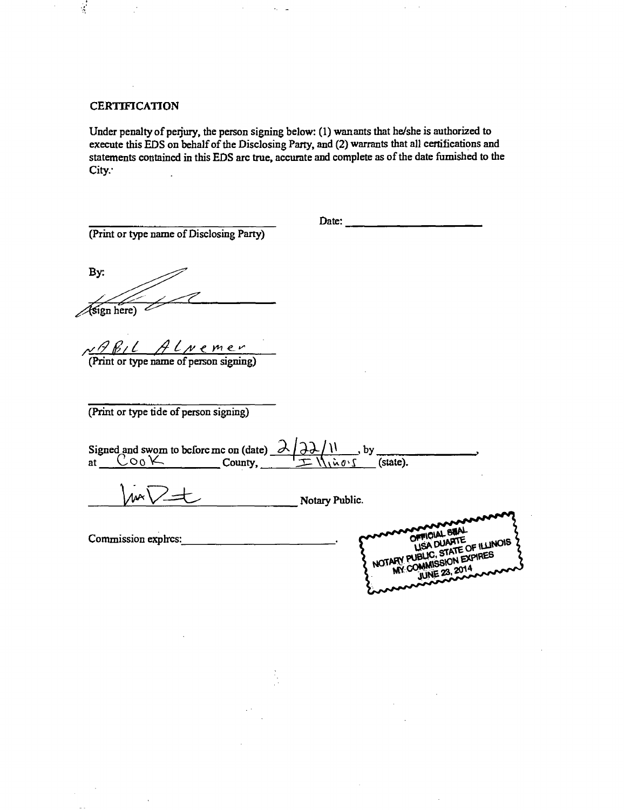**CERTIFICATION** 

 $\frac{1}{2}$ 

Under penalty of perjury, the person signing below: (1) wanants that he/she is authorized to execute this EDS on behalf of the Disclosing Party, and (2) warrants that all certifications and statements contained in this EDS arc true, accurate and complete as of the date fumished to the City.

(Print or type name of Disclosing Party)

Date:

By:  $\overbrace{\text{sign here}}^{\overbrace{\text{ferm}}^{\text{free}}}$ 

*/^^^0/^ ,/^^/y<y^^^* 

(Print or type name of person signing)

(Print or type tide of person signing)

bcforc mc on (date) \_  $\rightarrow$  by Signed and swom to at  $\begin{array}{|c|c|} \hline \text{Coo}\text{K} \end{array}$ County,  $\frac{1}{\sqrt{1 + \frac{1}{n}} \cdot \frac{1}{n}}$  (state).

Notary Public.  $\Lambda$ 

Commission exphes:

OFFICIAL BUAL ISA DUARTE OF ILLINOIS IN EXPIRES ol IBI **NOTARY** W *JUNE* 23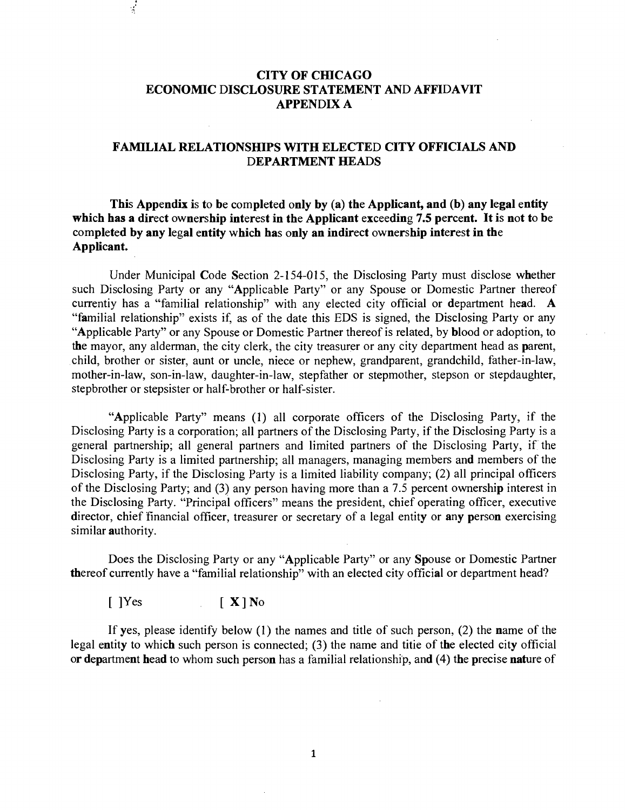# **CITY OF CHICAGO ECONOMIC DISCLOSURE STATEMENT AND AFFIDAVIT APPENDLX A**

#### **FAMILIAL RELATIONSHIPS WITH ELECTED CITY OFFICIALS AND DEPARTMENT HEADS**

**This Appendix is to be completed only by (a) the Applicant, and (b) any legal entity which has a direct ownership interest in the Applicant exceeding 7.5 percent. It is not to be completed by any legal entity which has only an indirect ownership interest in the Applicant.** 

Under Municipal Code Section 2-154-015, the Disclosing Party must disclose whether such Disclosing Party or any "Applicable Party" or any Spouse or Domestic Partner thereof currentiy has a "familial relationship" with any elected city official or department head. A "familial relationship" exists if, as of the date this EDS is signed, the Disclosing Party or any "Applicable Party" or any Spouse or Domestic Partner thereof is related, by blood or adoption, to the mayor, any alderman, the city clerk, the city treasurer or any city department head as parent, child, brother or sister, aunt or uncle, niece or nephew, grandparent, grandchild, father-in-law, mother-in-law, son-in-law, daughter-in-law, stepfather or stepmother, stepson or stepdaughter, stepbrother or stepsister or half-brother or half-sister.

"Applicable Party" means (1) all corporate officers of the Disclosing Party, if the Disclosing Party is a corporation; all partners of the Disclosing Party, if the Disclosing Party is a general partnership; all general partners and limited partners of the Disclosing Party, if the Disclosing Party is a limited partnership; all managers, managing members and members of the Disclosing Party, if the Disclosing Party is a limited liability company; (2) all principal officers of the Disclosing Party; and (3) any person having more than a 7.5 percent ownership interest in the Disclosing Party. "Principal officers" means the president, chief operating officer, executive director, chief financial officer, treasurer or secretary of a legal entity or any person exercising similar **authority**.

Does the Disclosing Party or any "Applicable Party" or any Spouse or Domestic Partner thereof currently have a "familial relationship" with an elected city official or department head?

 $[$   $]$ Yes  $[$   $X]$  No

 $\frac{1}{\sqrt{2}}$ 

If yes, please identify below  $(1)$  the names and title of such person,  $(2)$  the name of the legal entity to which such person is connected; (3) the name and titie of the elected city official or department head to whom such person has a familial relationship, and (4) the precise nature of